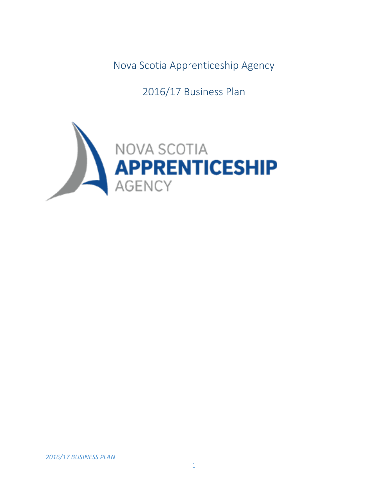Nova Scotia Apprenticeship Agency

2016/17 Business Plan

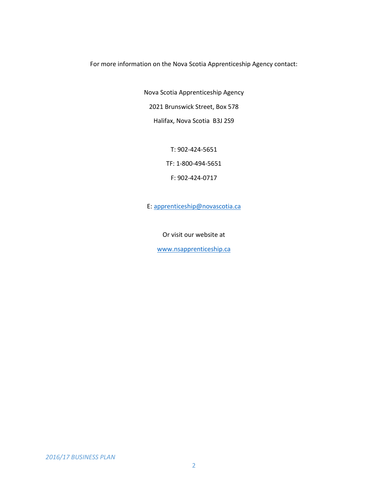For more information on the Nova Scotia Apprenticeship Agency contact:

Nova Scotia Apprenticeship Agency 2021 Brunswick Street, Box 578 Halifax, Nova Scotia B3J 2S9

T: 902-424-5651

TF: 1-800-494-5651

F: 902-424-0717

E: [apprenticeship@novascotia.ca](mailto:apprenticeship@novascotia.ca)

Or visit our website at

[www.nsapprenticeship.ca](http://www.nsapprenticeship.ca/)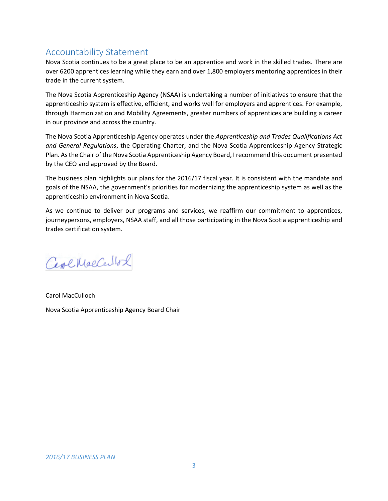## Accountability Statement

Nova Scotia continues to be a great place to be an apprentice and work in the skilled trades. There are over 6200 apprentices learning while they earn and over 1,800 employers mentoring apprentices in their trade in the current system.

The Nova Scotia Apprenticeship Agency (NSAA) is undertaking a number of initiatives to ensure that the apprenticeship system is effective, efficient, and works well for employers and apprentices. For example, through Harmonization and Mobility Agreements, greater numbers of apprentices are building a career in our province and across the country.

The Nova Scotia Apprenticeship Agency operates under the *Apprenticeship and Trades Qualifications Act and General Regulations*, the Operating Charter, and the Nova Scotia Apprenticeship Agency Strategic Plan. As the Chair of the Nova Scotia Apprenticeship Agency Board, I recommend this document presented by the CEO and approved by the Board.

The business plan highlights our plans for the 2016/17 fiscal year. It is consistent with the mandate and goals of the NSAA, the government's priorities for modernizing the apprenticeship system as well as the apprenticeship environment in Nova Scotia.

As we continue to deliver our programs and services, we reaffirm our commitment to apprentices, journeypersons, employers, NSAA staff, and all those participating in the Nova Scotia apprenticeship and trades certification system.

Cerchaecellol

Carol MacCulloch Nova Scotia Apprenticeship Agency Board Chair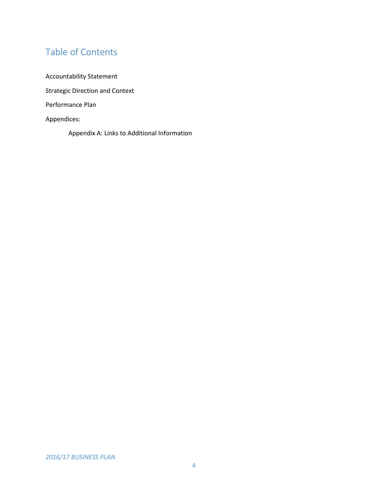# Table of Contents

Accountability Statement Strategic Direction and Context Performance Plan Appendices:

Appendix A: Links to Additional Information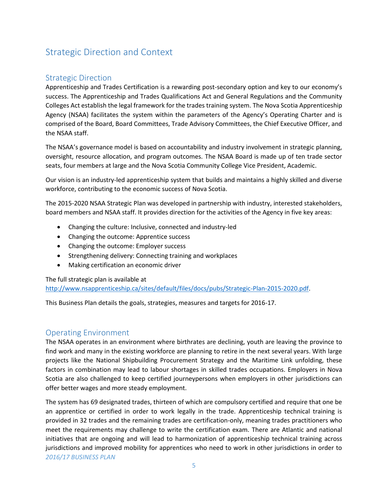# Strategic Direction and Context

## Strategic Direction

Apprenticeship and Trades Certification is a rewarding post-secondary option and key to our economy's success. The Apprenticeship and Trades Qualifications Act and General Regulations and the Community Colleges Act establish the legal framework for the trades training system. The Nova Scotia Apprenticeship Agency (NSAA) facilitates the system within the parameters of the Agency's Operating Charter and is comprised of the Board, Board Committees, Trade Advisory Committees, the Chief Executive Officer, and the NSAA staff.

The NSAA's governance model is based on accountability and industry involvement in strategic planning, oversight, resource allocation, and program outcomes. The NSAA Board is made up of ten trade sector seats, four members at large and the Nova Scotia Community College Vice President, Academic.

Our vision is an industry-led apprenticeship system that builds and maintains a highly skilled and diverse workforce, contributing to the economic success of Nova Scotia.

The 2015-2020 NSAA Strategic Plan was developed in partnership with industry, interested stakeholders, board members and NSAA staff. It provides direction for the activities of the Agency in five key areas:

- Changing the culture: Inclusive, connected and industry-led
- Changing the outcome: Apprentice success
- Changing the outcome: Employer success
- Strengthening delivery: Connecting training and workplaces
- Making certification an economic driver

The full strategic plan is available at

[http://www.nsapprenticeship.ca/sites/default/files/docs/pubs/Strategic-Plan-2015-2020.pdf.](http://www.nsapprenticeship.ca/sites/default/files/docs/pubs/Strategic-Plan-2015-2020.pdf)

This Business Plan details the goals, strategies, measures and targets for 2016-17.

#### Operating Environment

The NSAA operates in an environment where birthrates are declining, youth are leaving the province to find work and many in the existing workforce are planning to retire in the next several years. With large projects like the National Shipbuilding Procurement Strategy and the Maritime Link unfolding, these factors in combination may lead to labour shortages in skilled trades occupations. Employers in Nova Scotia are also challenged to keep certified journeypersons when employers in other jurisdictions can offer better wages and more steady employment.

*2016/17 BUSINESS PLAN* The system has 69 designated trades, thirteen of which are compulsory certified and require that one be an apprentice or certified in order to work legally in the trade. Apprenticeship technical training is provided in 32 trades and the remaining trades are certification-only, meaning trades practitioners who meet the requirements may challenge to write the certification exam. There are Atlantic and national initiatives that are ongoing and will lead to harmonization of apprenticeship technical training across jurisdictions and improved mobility for apprentices who need to work in other jurisdictions in order to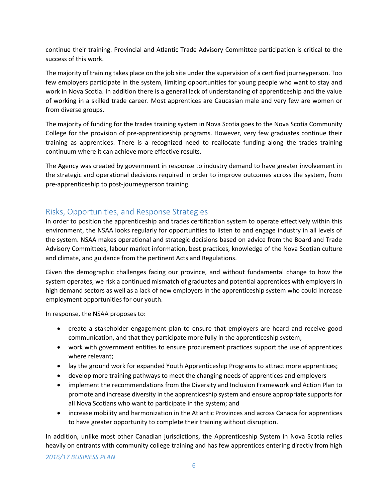continue their training. Provincial and Atlantic Trade Advisory Committee participation is critical to the success of this work.

The majority of training takes place on the job site under the supervision of a certified journeyperson. Too few employers participate in the system, limiting opportunities for young people who want to stay and work in Nova Scotia. In addition there is a general lack of understanding of apprenticeship and the value of working in a skilled trade career. Most apprentices are Caucasian male and very few are women or from diverse groups.

The majority of funding for the trades training system in Nova Scotia goes to the Nova Scotia Community College for the provision of pre-apprenticeship programs. However, very few graduates continue their training as apprentices. There is a recognized need to reallocate funding along the trades training continuum where it can achieve more effective results.

The Agency was created by government in response to industry demand to have greater involvement in the strategic and operational decisions required in order to improve outcomes across the system, from pre-apprenticeship to post-journeyperson training.

## Risks, Opportunities, and Response Strategies

In order to position the apprenticeship and trades certification system to operate effectively within this environment, the NSAA looks regularly for opportunities to listen to and engage industry in all levels of the system. NSAA makes operational and strategic decisions based on advice from the Board and Trade Advisory Committees, labour market information, best practices, knowledge of the Nova Scotian culture and climate, and guidance from the pertinent Acts and Regulations.

Given the demographic challenges facing our province, and without fundamental change to how the system operates, we risk a continued mismatch of graduates and potential apprentices with employers in high demand sectors as well as a lack of new employers in the apprenticeship system who could increase employment opportunities for our youth.

In response, the NSAA proposes to:

- create a stakeholder engagement plan to ensure that employers are heard and receive good communication, and that they participate more fully in the apprenticeship system;
- work with government entities to ensure procurement practices support the use of apprentices where relevant;
- lay the ground work for expanded Youth Apprenticeship Programs to attract more apprentices;
- develop more training pathways to meet the changing needs of apprentices and employers
- implement the recommendations from the Diversity and Inclusion Framework and Action Plan to promote and increase diversity in the apprenticeship system and ensure appropriate supports for all Nova Scotians who want to participate in the system; and
- increase mobility and harmonization in the Atlantic Provinces and across Canada for apprentices to have greater opportunity to complete their training without disruption.

In addition, unlike most other Canadian jurisdictions, the Apprenticeship System in Nova Scotia relies heavily on entrants with community college training and has few apprentices entering directly from high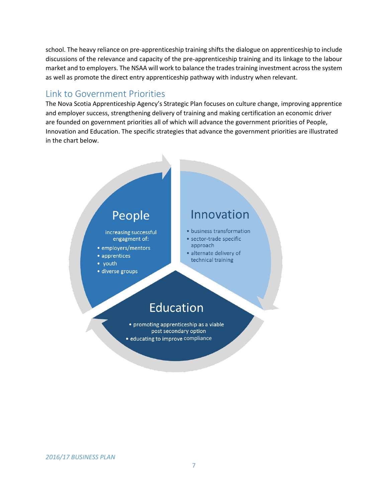school. The heavy reliance on pre-apprenticeship training shifts the dialogue on apprenticeship to include discussions of the relevance and capacity of the pre-apprenticeship training and its linkage to the labour market and to employers. The NSAA will work to balance the trades training investment across the system as well as promote the direct entry apprenticeship pathway with industry when relevant.

## Link to Government Priorities

The Nova Scotia Apprenticeship Agency's Strategic Plan focuses on culture change, improving apprentice and employer success, strengthening delivery of training and making certification an economic driver are founded on government priorities all of which will advance the government priorities of People, Innovation and Education. The specific strategies that advance the government priorities are illustrated in the chart below.

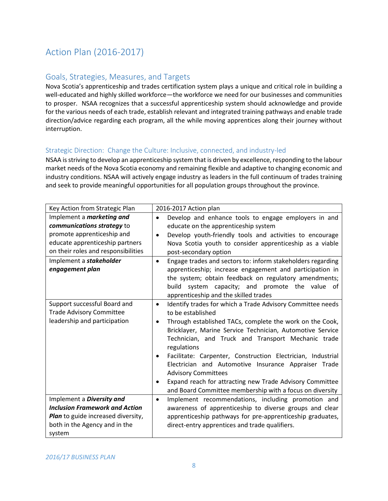# Action Plan (2016-2017)

## Goals, Strategies, Measures, and Targets

Nova Scotia's apprenticeship and trades certification system plays a unique and critical role in building a well-educated and highly skilled workforce—the workforce we need for our businesses and communities to prosper. NSAA recognizes that a successful apprenticeship system should acknowledge and provide for the various needs of each trade, establish relevant and integrated training pathways and enable trade direction/advice regarding each program, all the while moving apprentices along their journey without interruption.

#### Strategic Direction: Change the Culture: Inclusive, connected, and industry-led

NSAA is striving to develop an apprenticeship system that is driven by excellence, responding to the labour market needs of the Nova Scotia economy and remaining flexible and adaptive to changing economic and industry conditions. NSAA will actively engage industry as leaders in the full continuum of trades training and seek to provide meaningful opportunities for all population groups throughout the province.

| Key Action from Strategic Plan        | 2016-2017 Action plan                                                    |
|---------------------------------------|--------------------------------------------------------------------------|
| Implement a <i>marketing and</i>      | Develop and enhance tools to engage employers in and<br>$\bullet$        |
| communications strategy to            | educate on the apprenticeship system                                     |
| promote apprenticeship and            | Develop youth-friendly tools and activities to encourage<br>$\bullet$    |
| educate apprenticeship partners       | Nova Scotia youth to consider apprenticeship as a viable                 |
| on their roles and responsibilities   | post-secondary option                                                    |
| Implement a stakeholder               | Engage trades and sectors to: inform stakeholders regarding<br>$\bullet$ |
| engagement plan                       | apprenticeship; increase engagement and participation in                 |
|                                       | the system; obtain feedback on regulatory amendments;                    |
|                                       | build<br>system capacity; and promote the value of                       |
|                                       | apprenticeship and the skilled trades                                    |
| Support successful Board and          | Identify trades for which a Trade Advisory Committee needs<br>$\bullet$  |
| <b>Trade Advisory Committee</b>       | to be established                                                        |
| leadership and participation          | Through established TACs, complete the work on the Cook,<br>٠            |
|                                       | Bricklayer, Marine Service Technician, Automotive Service                |
|                                       | Technician, and Truck and Transport Mechanic trade                       |
|                                       | regulations                                                              |
|                                       | Facilitate: Carpenter, Construction Electrician, Industrial              |
|                                       | Electrician and Automotive Insurance Appraiser Trade                     |
|                                       | <b>Advisory Committees</b>                                               |
|                                       | Expand reach for attracting new Trade Advisory Committee                 |
|                                       | and Board Committee membership with a focus on diversity                 |
| Implement a Diversity and             | Implement recommendations, including promotion and<br>$\bullet$          |
| <b>Inclusion Framework and Action</b> | awareness of apprenticeship to diverse groups and clear                  |
| Plan to guide increased diversity,    | apprenticeship pathways for pre-apprenticeship graduates,                |
| both in the Agency and in the         | direct-entry apprentices and trade qualifiers.                           |
| system                                |                                                                          |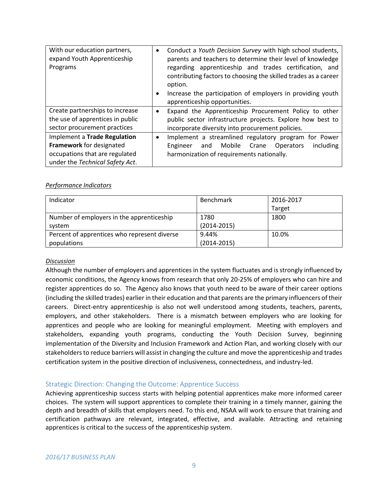| With our education partners,<br>expand Youth Apprenticeship<br>Programs | Conduct a Youth Decision Survey with high school students,<br>$\bullet$<br>parents and teachers to determine their level of knowledge<br>regarding apprenticeship and trades certification, and<br>contributing factors to choosing the skilled trades as a career<br>option.<br>Increase the participation of employers in providing youth<br>$\bullet$<br>apprenticeship opportunities. |
|-------------------------------------------------------------------------|-------------------------------------------------------------------------------------------------------------------------------------------------------------------------------------------------------------------------------------------------------------------------------------------------------------------------------------------------------------------------------------------|
| Create partnerships to increase                                         | Expand the Apprenticeship Procurement Policy to other<br>٠                                                                                                                                                                                                                                                                                                                                |
| the use of apprentices in public                                        | public sector infrastructure projects. Explore how best to                                                                                                                                                                                                                                                                                                                                |
| sector procurement practices                                            | incorporate diversity into procurement policies.                                                                                                                                                                                                                                                                                                                                          |
| Implement a Trade Regulation                                            | Implement a streamlined regulatory program for Power                                                                                                                                                                                                                                                                                                                                      |
| Framework for designated                                                | Mobile Crane<br>including<br>and<br>Engineer<br><b>Operators</b>                                                                                                                                                                                                                                                                                                                          |
| occupations that are regulated                                          | harmonization of requirements nationally.                                                                                                                                                                                                                                                                                                                                                 |
| under the Technical Safety Act.                                         |                                                                                                                                                                                                                                                                                                                                                                                           |

| Indicator                                    | Benchmark       | 2016-2017 |
|----------------------------------------------|-----------------|-----------|
|                                              |                 | Target    |
| Number of employers in the apprenticeship    | 1780            | 1800      |
| system                                       | $(2014 - 2015)$ |           |
| Percent of apprentices who represent diverse | 9.44%           | 10.0%     |
| populations                                  | $(2014 - 2015)$ |           |

#### *Discussion*

Although the number of employers and apprentices in the system fluctuates and is strongly influenced by economic conditions, the Agency knows from research that only 20-25% of employers who can hire and register apprentices do so. The Agency also knows that youth need to be aware of their career options (including the skilled trades) earlier in their education and that parents are the primary influencers of their careers. Direct-entry apprenticeship is also not well understood among students, teachers, parents, employers, and other stakeholders. There is a mismatch between employers who are looking for apprentices and people who are looking for meaningful employment. Meeting with employers and stakeholders, expanding youth programs, conducting the Youth Decision Survey, beginning implementation of the Diversity and Inclusion Framework and Action Plan, and working closely with our stakeholders to reduce barriers will assist in changing the culture and move the apprenticeship and trades certification system in the positive direction of inclusiveness, connectedness, and industry-led.

#### Strategic Direction: Changing the Outcome: Apprentice Success

Achieving apprenticeship success starts with helping potential apprentices make more informed career choices. The system will support apprentices to complete their training in a timely manner, gaining the depth and breadth of skills that employers need. To this end, NSAA will work to ensure that training and certification pathways are relevant, integrated, effective, and available. Attracting and retaining apprentices is critical to the success of the apprenticeship system.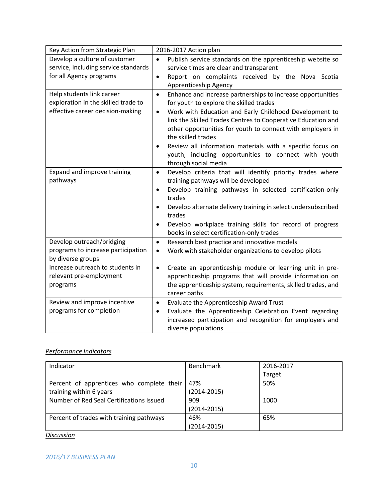| Key Action from Strategic Plan       | 2016-2017 Action plan                                                           |
|--------------------------------------|---------------------------------------------------------------------------------|
| Develop a culture of customer        | Publish service standards on the apprenticeship website so<br>$\bullet$         |
| service, including service standards | service times are clear and transparent                                         |
| for all Agency programs              | Report on complaints received by the Nova Scotia<br>$\bullet$                   |
|                                      | Apprenticeship Agency                                                           |
| Help students link career            | Enhance and increase partnerships to increase opportunities<br>$\bullet$        |
| exploration in the skilled trade to  | for youth to explore the skilled trades                                         |
| effective career decision-making     | Work with Education and Early Childhood Development to<br>$\bullet$             |
|                                      | link the Skilled Trades Centres to Cooperative Education and                    |
|                                      | other opportunities for youth to connect with employers in                      |
|                                      | the skilled trades                                                              |
|                                      | Review all information materials with a specific focus on                       |
|                                      | youth, including opportunities to connect with youth                            |
|                                      | through social media                                                            |
| Expand and improve training          | Develop criteria that will identify priority trades where<br>$\bullet$          |
| pathways                             | training pathways will be developed                                             |
|                                      | Develop training pathways in selected certification-only<br>$\bullet$<br>trades |
|                                      | Develop alternate delivery training in select undersubscribed                   |
|                                      | trades                                                                          |
|                                      | Develop workplace training skills for record of progress<br>$\bullet$           |
|                                      | books in select certification-only trades                                       |
| Develop outreach/bridging            | Research best practice and innovative models<br>$\bullet$                       |
| programs to increase participation   | Work with stakeholder organizations to develop pilots<br>$\bullet$              |
| by diverse groups                    |                                                                                 |
| Increase outreach to students in     | Create an apprenticeship module or learning unit in pre-<br>$\bullet$           |
| relevant pre-employment              | apprenticeship programs that will provide information on                        |
| programs                             | the apprenticeship system, requirements, skilled trades, and                    |
|                                      | career paths                                                                    |
| Review and improve incentive         | Evaluate the Apprenticeship Award Trust<br>$\bullet$                            |
| programs for completion              | Evaluate the Apprenticeship Celebration Event regarding<br>$\bullet$            |
|                                      | increased participation and recognition for employers and                       |
|                                      | diverse populations                                                             |

| Indicator                                 | Benchmark       | 2016-2017 |
|-------------------------------------------|-----------------|-----------|
|                                           |                 | Target    |
| Percent of apprentices who complete their | 47%             | 50%       |
| training within 6 years                   | $(2014 - 2015)$ |           |
| Number of Red Seal Certifications Issued  | 909             | 1000      |
|                                           | $(2014 - 2015)$ |           |
| Percent of trades with training pathways  | 46%             | 65%       |
|                                           | $(2014 - 2015)$ |           |

*Discussion*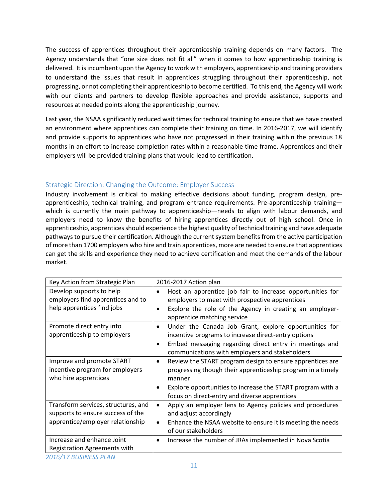The success of apprentices throughout their apprenticeship training depends on many factors. The Agency understands that "one size does not fit all" when it comes to how apprenticeship training is delivered. It is incumbent upon the Agency to work with employers, apprenticeship and training providers to understand the issues that result in apprentices struggling throughout their apprenticeship, not progressing, or not completing their apprenticeship to become certified. To this end, the Agency will work with our clients and partners to develop flexible approaches and provide assistance, supports and resources at needed points along the apprenticeship journey.

Last year, the NSAA significantly reduced wait times for technical training to ensure that we have created an environment where apprentices can complete their training on time. In 2016-2017, we will identify and provide supports to apprentices who have not progressed in their training within the previous 18 months in an effort to increase completion rates within a reasonable time frame. Apprentices and their employers will be provided training plans that would lead to certification.

### Strategic Direction: Changing the Outcome: Employer Success

Industry involvement is critical to making effective decisions about funding, program design, preapprenticeship, technical training, and program entrance requirements. Pre-apprenticeship training which is currently the main pathway to apprenticeship—needs to align with labour demands, and employers need to know the benefits of hiring apprentices directly out of high school. Once in apprenticeship, apprentices should experience the highest quality of technical training and have adequate pathways to pursue their certification. Although the current system benefits from the active participation of more than 1700 employers who hire and train apprentices, more are needed to ensure that apprentices can get the skills and experience they need to achieve certification and meet the demands of the labour market.

| Key Action from Strategic Plan                                                                               | 2016-2017 Action plan                                                                                                                                                                                                                                                       |
|--------------------------------------------------------------------------------------------------------------|-----------------------------------------------------------------------------------------------------------------------------------------------------------------------------------------------------------------------------------------------------------------------------|
| Develop supports to help<br>employers find apprentices and to<br>help apprentices find jobs                  | Host an apprentice job fair to increase opportunities for<br>employers to meet with prospective apprentices<br>Explore the role of the Agency in creating an employer-<br>$\bullet$<br>apprentice matching service                                                          |
| Promote direct entry into<br>apprenticeship to employers                                                     | Under the Canada Job Grant, explore opportunities for<br>$\bullet$<br>incentive programs to increase direct-entry options<br>Embed messaging regarding direct entry in meetings and<br>$\bullet$<br>communications with employers and stakeholders                          |
| Improve and promote START<br>incentive program for employers<br>who hire apprentices                         | Review the START program design to ensure apprentices are<br>$\bullet$<br>progressing though their apprenticeship program in a timely<br>manner<br>Explore opportunities to increase the START program with a<br>$\bullet$<br>focus on direct-entry and diverse apprentices |
| Transform services, structures, and<br>supports to ensure success of the<br>apprentice/employer relationship | Apply an employer lens to Agency policies and procedures<br>$\bullet$<br>and adjust accordingly<br>Enhance the NSAA website to ensure it is meeting the needs<br>٠<br>of our stakeholders                                                                                   |
| Increase and enhance Joint<br>Registration Agreements with                                                   | Increase the number of JRAs implemented in Nova Scotia<br>$\bullet$                                                                                                                                                                                                         |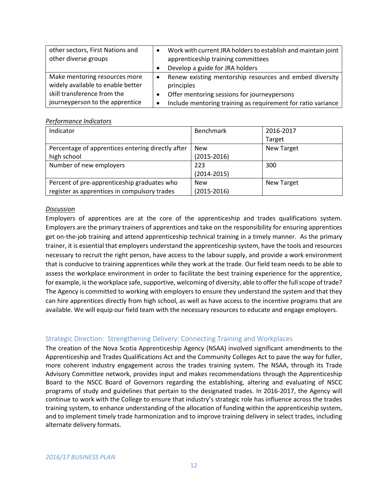| other sectors, First Nations and  | Work with current JRA holders to establish and maintain joint |
|-----------------------------------|---------------------------------------------------------------|
| other diverse groups              | apprenticeship training committees                            |
|                                   | Develop a guide for JRA holders                               |
| Make mentoring resources more     | Renew existing mentorship resources and embed diversity<br>٠  |
| widely available to enable better | principles                                                    |
| skill transference from the       | Offer mentoring sessions for journeypersons                   |
| journeyperson to the apprentice   | Include mentoring training as requirement for ratio variance  |

| Indicator                                         | <b>Benchmark</b> | 2016-2017         |
|---------------------------------------------------|------------------|-------------------|
|                                                   |                  | Target            |
| Percentage of apprentices entering directly after | <b>New</b>       | <b>New Target</b> |
| high school                                       | $(2015 - 2016)$  |                   |
| Number of new employers                           | 223              | 300               |
|                                                   | $(2014 - 2015)$  |                   |
| Percent of pre-apprenticeship graduates who       | <b>New</b>       | <b>New Target</b> |
| register as apprentices in compulsory trades      | $(2015 - 2016)$  |                   |

#### *Discussion*

Employers of apprentices are at the core of the apprenticeship and trades qualifications system. Employers are the primary trainers of apprentices and take on the responsibility for ensuring apprentices get on-the-job training and attend apprenticeship technical training in a timely manner. As the primary trainer, it is essential that employers understand the apprenticeship system, have the tools and resources necessary to recruit the right person, have access to the labour supply, and provide a work environment that is conducive to training apprentices while they work at the trade. Our field team needs to be able to assess the workplace environment in order to facilitate the best training experience for the apprentice, for example, is the workplace safe, supportive, welcoming of diversity, able to offer the full scope of trade? The Agency is committed to working with employers to ensure they understand the system and that they can hire apprentices directly from high school, as well as have access to the incentive programs that are available. We will equip our field team with the necessary resources to educate and engage employers.

#### Strategic Direction: Strengthening Delivery: Connecting Training and Workplaces

The creation of the Nova Scotia Apprenticeship Agency (NSAA) involved significant amendments to the Apprenticeship and Trades Qualifications Act and the Community Colleges Act to pave the way for fuller, more coherent industry engagement across the trades training system. The NSAA, through its Trade Advisory Committee network, provides input and makes recommendations through the Apprenticeship Board to the NSCC Board of Governors regarding the establishing, altering and evaluating of NSCC programs of study and guidelines that pertain to the designated trades. In 2016-2017, the Agency will continue to work with the College to ensure that industry's strategic role has influence across the trades training system, to enhance understanding of the allocation of funding within the apprenticeship system, and to implement timely trade harmonization and to improve training delivery in select trades, including alternate delivery formats.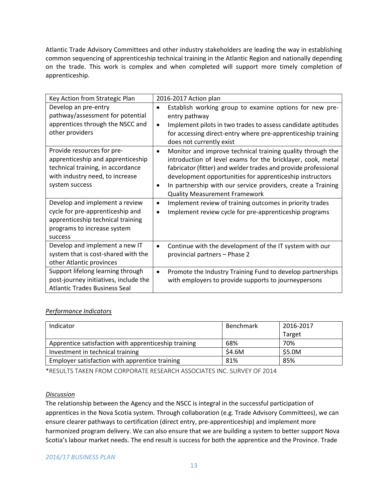Atlantic Trade Advisory Committees and other industry stakeholders are leading the way in establishing common sequencing of apprenticeship technical training in the Atlantic Region and nationally depending on the trade. This work is complex and when completed will support more timely completion of apprenticeship.

| Key Action from Strategic Plan                                                                                                                            | 2016-2017 Action plan                                                                                                                                                                                                                                                                                                                                                             |
|-----------------------------------------------------------------------------------------------------------------------------------------------------------|-----------------------------------------------------------------------------------------------------------------------------------------------------------------------------------------------------------------------------------------------------------------------------------------------------------------------------------------------------------------------------------|
| Develop an pre-entry<br>pathway/assessment for potential<br>apprentices through the NSCC and<br>other providers                                           | Establish working group to examine options for new pre-<br>$\bullet$<br>entry pathway<br>Implement pilots in two trades to assess candidate aptitudes<br>$\bullet$<br>for accessing direct-entry where pre-apprenticeship training<br>does not currently exist                                                                                                                    |
| Provide resources for pre-<br>apprenticeship and apprenticeship<br>technical training, in accordance<br>with industry need, to increase<br>system success | Monitor and improve technical training quality through the<br>$\bullet$<br>introduction of level exams for the bricklayer, cook, metal<br>fabricator (fitter) and welder trades and provide professional<br>development opportunities for apprenticeship instructors<br>In partnership with our service providers, create a Training<br>٠<br><b>Quality Measurement Framework</b> |
| Develop and implement a review<br>cycle for pre-apprenticeship and<br>apprenticeship technical training<br>programs to increase system<br>success         | Implement review of training outcomes in priority trades<br>$\bullet$<br>Implement review cycle for pre-apprenticeship programs<br>$\bullet$                                                                                                                                                                                                                                      |
| Develop and implement a new IT<br>system that is cost-shared with the<br>other Atlantic provinces                                                         | Continue with the development of the IT system with our<br>$\bullet$<br>provincial partners - Phase 2                                                                                                                                                                                                                                                                             |
| Support lifelong learning through<br>post-journey initiatives, include the<br><b>Atlantic Trades Business Seal</b>                                        | Promote the Industry Training Fund to develop partnerships<br>٠<br>with employers to provide supports to journeypersons                                                                                                                                                                                                                                                           |

#### *Performance Indicators*

| Indicator                                            | Benchmark | 2016-2017 |
|------------------------------------------------------|-----------|-----------|
|                                                      |           | Target    |
| Apprentice satisfaction with apprenticeship training | 68%       | 70%       |
| Investment in technical training                     | \$4.6M    | \$5.0M    |
| Employer satisfaction with apprentice training       | 81%       | 85%       |

\*RESULTS TAKEN FROM CORPORATE RESEARCH ASSOCIATES INC. SURVEY OF 2014

#### *Discussion*

The relationship between the Agency and the NSCC is integral in the successful participation of apprentices in the Nova Scotia system. Through collaboration (e.g. Trade Advisory Committees), we can ensure clearer pathways to certification (direct entry, pre-apprenticeship) and implement more harmonized program delivery. We can also ensure that we are building a system to better support Nova Scotia's labour market needs. The end result is success for both the apprentice and the Province. Trade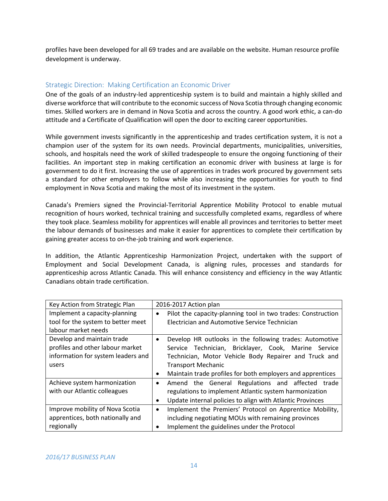profiles have been developed for all 69 trades and are available on the website. Human resource profile development is underway.

#### Strategic Direction: Making Certification an Economic Driver

One of the goals of an industry-led apprenticeship system is to build and maintain a highly skilled and diverse workforce that will contribute to the economic success of Nova Scotia through changing economic times. Skilled workers are in demand in Nova Scotia and across the country. A good work ethic, a can-do attitude and a Certificate of Qualification will open the door to exciting career opportunities.

While government invests significantly in the apprenticeship and trades certification system, it is not a champion user of the system for its own needs. Provincial departments, municipalities, universities, schools, and hospitals need the work of skilled tradespeople to ensure the ongoing functioning of their facilities. An important step in making certification an economic driver with business at large is for government to do it first. Increasing the use of apprentices in trades work procured by government sets a standard for other employers to follow while also increasing the opportunities for youth to find employment in Nova Scotia and making the most of its investment in the system.

Canada's Premiers signed the Provincial-Territorial Apprentice Mobility Protocol to enable mutual recognition of hours worked, technical training and successfully completed exams, regardless of where they took place. Seamless mobility for apprentices will enable all provinces and territories to better meet the labour demands of businesses and make it easier for apprentices to complete their certification by gaining greater access to on-the-job training and work experience.

In addition, the Atlantic Apprenticeship Harmonization Project, undertaken with the support of Employment and Social Development Canada, is aligning rules, processes and standards for apprenticeship across Atlantic Canada. This will enhance consistency and efficiency in the way Atlantic Canadians obtain trade certification.

| Key Action from Strategic Plan                                                                                | 2016-2017 Action plan                                                                                                                                                                                                                                                            |
|---------------------------------------------------------------------------------------------------------------|----------------------------------------------------------------------------------------------------------------------------------------------------------------------------------------------------------------------------------------------------------------------------------|
| Implement a capacity-planning<br>tool for the system to better meet<br>labour market needs                    | Pilot the capacity-planning tool in two trades: Construction<br>$\bullet$<br>Electrician and Automotive Service Technician                                                                                                                                                       |
| Develop and maintain trade<br>profiles and other labour market<br>information for system leaders and<br>users | Develop HR outlooks in the following trades: Automotive<br>$\bullet$<br>Service Technician, Bricklayer, Cook, Marine Service<br>Technician, Motor Vehicle Body Repairer and Truck and<br><b>Transport Mechanic</b><br>Maintain trade profiles for both employers and apprentices |
| Achieve system harmonization<br>with our Atlantic colleagues                                                  | Amend the General Regulations and affected trade<br>$\bullet$<br>regulations to implement Atlantic system harmonization<br>Update internal policies to align with Atlantic Provinces<br>٠                                                                                        |
| Improve mobility of Nova Scotia<br>apprentices, both nationally and<br>regionally                             | Implement the Premiers' Protocol on Apprentice Mobility,<br>$\bullet$<br>including negotiating MOUs with remaining provinces<br>Implement the guidelines under the Protocol                                                                                                      |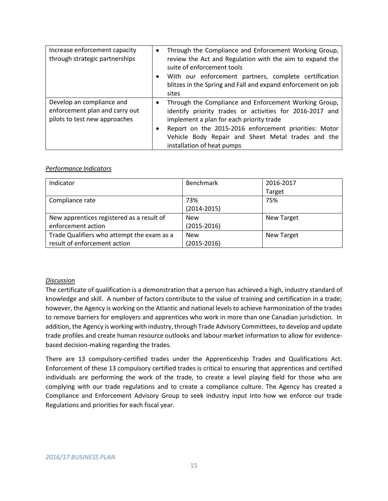| Increase enforcement capacity<br>through strategic partnerships                              | Through the Compliance and Enforcement Working Group,<br>٠<br>review the Act and Regulation with the aim to expand the<br>suite of enforcement tools<br>With our enforcement partners, complete certification<br>$\bullet$<br>blitzes in the Spring and Fall and expand enforcement on job<br>sites                     |
|----------------------------------------------------------------------------------------------|-------------------------------------------------------------------------------------------------------------------------------------------------------------------------------------------------------------------------------------------------------------------------------------------------------------------------|
| Develop an compliance and<br>enforcement plan and carry out<br>pilots to test new approaches | Through the Compliance and Enforcement Working Group,<br>$\bullet$<br>identify priority trades or activities for 2016-2017 and<br>implement a plan for each priority trade<br>Report on the 2015-2016 enforcement priorities: Motor<br>Vehicle Body Repair and Sheet Metal trades and the<br>installation of heat pumps |

| Indicator                                  | <b>Benchmark</b> | 2016-2017         |
|--------------------------------------------|------------------|-------------------|
|                                            |                  | Target            |
| Compliance rate                            | 73%              | 75%               |
|                                            | $(2014 - 2015)$  |                   |
| New apprentices registered as a result of  | <b>New</b>       | <b>New Target</b> |
| enforcement action                         | $(2015 - 2016)$  |                   |
| Trade Qualifiers who attempt the exam as a | <b>New</b>       | <b>New Target</b> |
| result of enforcement action               | $(2015 - 2016)$  |                   |

#### *Discussion*

The certificate of qualification is a demonstration that a person has achieved a high, industry standard of knowledge and skill. A number of factors contribute to the value of training and certification in a trade; however, the Agency is working on the Atlantic and national levels to achieve harmonization of the trades to remove barriers for employers and apprentices who work in more than one Canadian jurisdiction. In addition, the Agency is working with industry, through Trade Advisory Committees, to develop and update trade profiles and create human resource outlooks and labour market information to allow for evidencebased decision-making regarding the trades.

There are 13 compulsory-certified trades under the Apprenticeship Trades and Qualifications Act. Enforcement of these 13 compulsory certified trades is critical to ensuring that apprentices and certified individuals are performing the work of the trade, to create a level playing field for those who are complying with our trade regulations and to create a compliance culture. The Agency has created a Compliance and Enforcement Advisory Group to seek industry input into how we enforce our trade Regulations and priorities for each fiscal year.